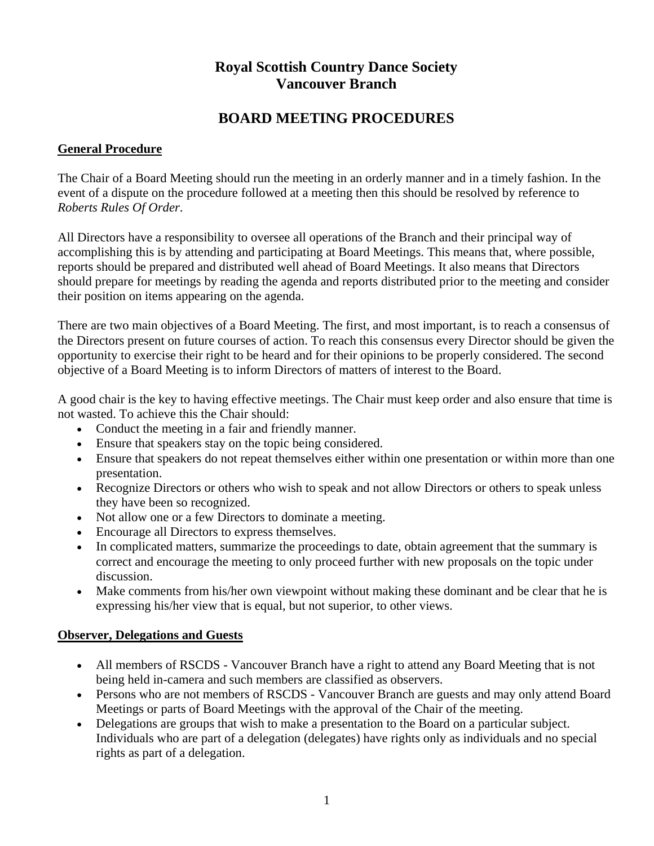# **Royal Scottish Country Dance Society Vancouver Branch**

## **BOARD MEETING PROCEDURES**

## **General Procedure**

The Chair of a Board Meeting should run the meeting in an orderly manner and in a timely fashion. In the event of a dispute on the procedure followed at a meeting then this should be resolved by reference to *Roberts Rules Of Order*.

All Directors have a responsibility to oversee all operations of the Branch and their principal way of accomplishing this is by attending and participating at Board Meetings. This means that, where possible, reports should be prepared and distributed well ahead of Board Meetings. It also means that Directors should prepare for meetings by reading the agenda and reports distributed prior to the meeting and consider their position on items appearing on the agenda.

There are two main objectives of a Board Meeting. The first, and most important, is to reach a consensus of the Directors present on future courses of action. To reach this consensus every Director should be given the opportunity to exercise their right to be heard and for their opinions to be properly considered. The second objective of a Board Meeting is to inform Directors of matters of interest to the Board.

A good chair is the key to having effective meetings. The Chair must keep order and also ensure that time is not wasted. To achieve this the Chair should:

- Conduct the meeting in a fair and friendly manner.
- Ensure that speakers stay on the topic being considered.
- Ensure that speakers do not repeat themselves either within one presentation or within more than one presentation.
- Recognize Directors or others who wish to speak and not allow Directors or others to speak unless they have been so recognized.
- Not allow one or a few Directors to dominate a meeting.
- Encourage all Directors to express themselves.
- In complicated matters, summarize the proceedings to date, obtain agreement that the summary is correct and encourage the meeting to only proceed further with new proposals on the topic under discussion.
- Make comments from his/her own viewpoint without making these dominant and be clear that he is expressing his/her view that is equal, but not superior, to other views.

### **Observer, Delegations and Guests**

- All members of RSCDS Vancouver Branch have a right to attend any Board Meeting that is not being held in-camera and such members are classified as observers.
- Persons who are not members of RSCDS Vancouver Branch are guests and may only attend Board Meetings or parts of Board Meetings with the approval of the Chair of the meeting.
- Delegations are groups that wish to make a presentation to the Board on a particular subject. Individuals who are part of a delegation (delegates) have rights only as individuals and no special rights as part of a delegation.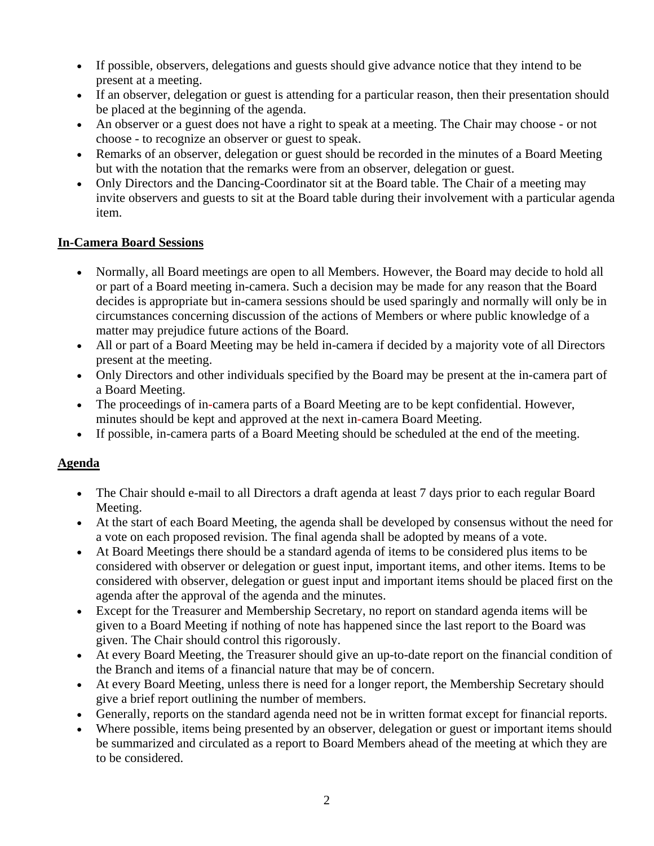- If possible, observers, delegations and guests should give advance notice that they intend to be present at a meeting.
- If an observer, delegation or guest is attending for a particular reason, then their presentation should be placed at the beginning of the agenda.
- An observer or a guest does not have a right to speak at a meeting. The Chair may choose or not choose - to recognize an observer or guest to speak.
- Remarks of an observer, delegation or guest should be recorded in the minutes of a Board Meeting but with the notation that the remarks were from an observer, delegation or guest.
- Only Directors and the Dancing-Coordinator sit at the Board table. The Chair of a meeting may invite observers and guests to sit at the Board table during their involvement with a particular agenda item.

### **In-Camera Board Sessions**

- Normally, all Board meetings are open to all Members. However, the Board may decide to hold all or part of a Board meeting in-camera. Such a decision may be made for any reason that the Board decides is appropriate but in-camera sessions should be used sparingly and normally will only be in circumstances concerning discussion of the actions of Members or where public knowledge of a matter may prejudice future actions of the Board.
- All or part of a Board Meeting may be held in-camera if decided by a majority vote of all Directors present at the meeting.
- Only Directors and other individuals specified by the Board may be present at the in-camera part of a Board Meeting.
- The proceedings of in**-**camera parts of a Board Meeting are to be kept confidential. However, minutes should be kept and approved at the next in**-**camera Board Meeting.
- If possible, in-camera parts of a Board Meeting should be scheduled at the end of the meeting.

### **Agenda**

- The Chair should e-mail to all Directors a draft agenda at least 7 days prior to each regular Board Meeting.
- At the start of each Board Meeting, the agenda shall be developed by consensus without the need for a vote on each proposed revision. The final agenda shall be adopted by means of a vote.
- At Board Meetings there should be a standard agenda of items to be considered plus items to be considered with observer or delegation or guest input, important items, and other items. Items to be considered with observer, delegation or guest input and important items should be placed first on the agenda after the approval of the agenda and the minutes.
- Except for the Treasurer and Membership Secretary, no report on standard agenda items will be given to a Board Meeting if nothing of note has happened since the last report to the Board was given. The Chair should control this rigorously.
- At every Board Meeting, the Treasurer should give an up-to-date report on the financial condition of the Branch and items of a financial nature that may be of concern.
- At every Board Meeting, unless there is need for a longer report, the Membership Secretary should give a brief report outlining the number of members.
- Generally, reports on the standard agenda need not be in written format except for financial reports.
- Where possible, items being presented by an observer, delegation or guest or important items should be summarized and circulated as a report to Board Members ahead of the meeting at which they are to be considered.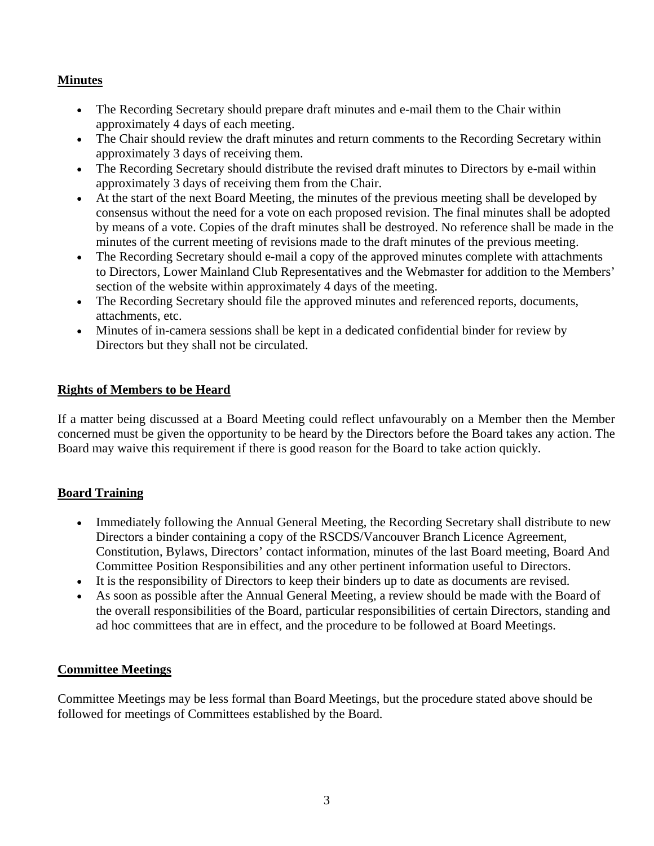## **Minutes**

- The Recording Secretary should prepare draft minutes and e-mail them to the Chair within approximately 4 days of each meeting.
- The Chair should review the draft minutes and return comments to the Recording Secretary within approximately 3 days of receiving them.
- The Recording Secretary should distribute the revised draft minutes to Directors by e-mail within approximately 3 days of receiving them from the Chair.
- At the start of the next Board Meeting, the minutes of the previous meeting shall be developed by consensus without the need for a vote on each proposed revision. The final minutes shall be adopted by means of a vote. Copies of the draft minutes shall be destroyed. No reference shall be made in the minutes of the current meeting of revisions made to the draft minutes of the previous meeting.
- The Recording Secretary should e-mail a copy of the approved minutes complete with attachments to Directors, Lower Mainland Club Representatives and the Webmaster for addition to the Members' section of the website within approximately 4 days of the meeting.
- The Recording Secretary should file the approved minutes and referenced reports, documents, attachments, etc.
- Minutes of in-camera sessions shall be kept in a dedicated confidential binder for review by Directors but they shall not be circulated.

## **Rights of Members to be Heard**

If a matter being discussed at a Board Meeting could reflect unfavourably on a Member then the Member concerned must be given the opportunity to be heard by the Directors before the Board takes any action. The Board may waive this requirement if there is good reason for the Board to take action quickly.

### **Board Training**

- Immediately following the Annual General Meeting, the Recording Secretary shall distribute to new Directors a binder containing a copy of the RSCDS/Vancouver Branch Licence Agreement, Constitution, Bylaws, Directors' contact information, minutes of the last Board meeting, Board And Committee Position Responsibilities and any other pertinent information useful to Directors.
- It is the responsibility of Directors to keep their binders up to date as documents are revised.
- As soon as possible after the Annual General Meeting, a review should be made with the Board of the overall responsibilities of the Board, particular responsibilities of certain Directors, standing and ad hoc committees that are in effect, and the procedure to be followed at Board Meetings.

## **Committee Meetings**

Committee Meetings may be less formal than Board Meetings, but the procedure stated above should be followed for meetings of Committees established by the Board.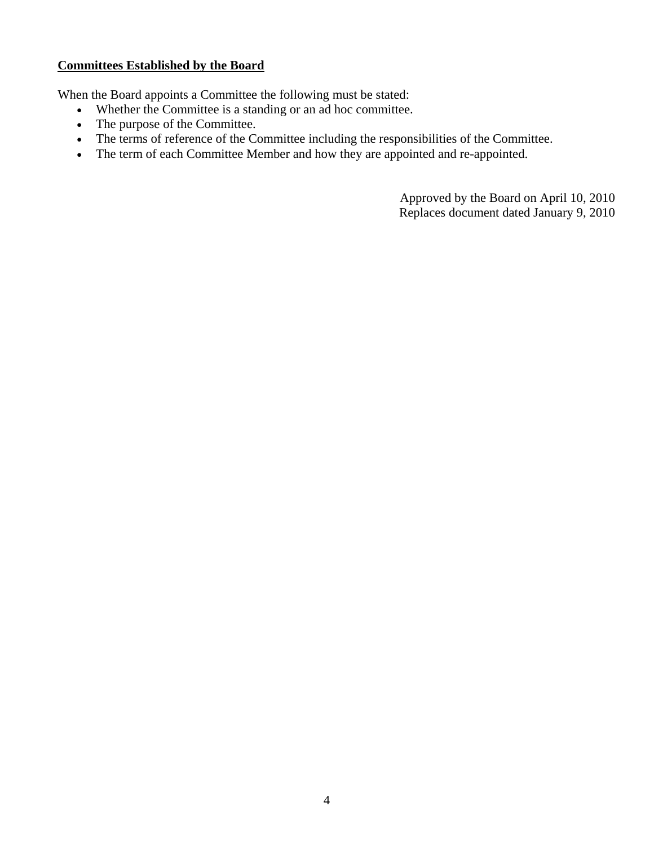#### **Committees Established by the Board**

When the Board appoints a Committee the following must be stated:

- Whether the Committee is a standing or an ad hoc committee.
- The purpose of the Committee.
- The terms of reference of the Committee including the responsibilities of the Committee.
- The term of each Committee Member and how they are appointed and re-appointed.

Approved by the Board on April 10, 2010 Replaces document dated January 9, 2010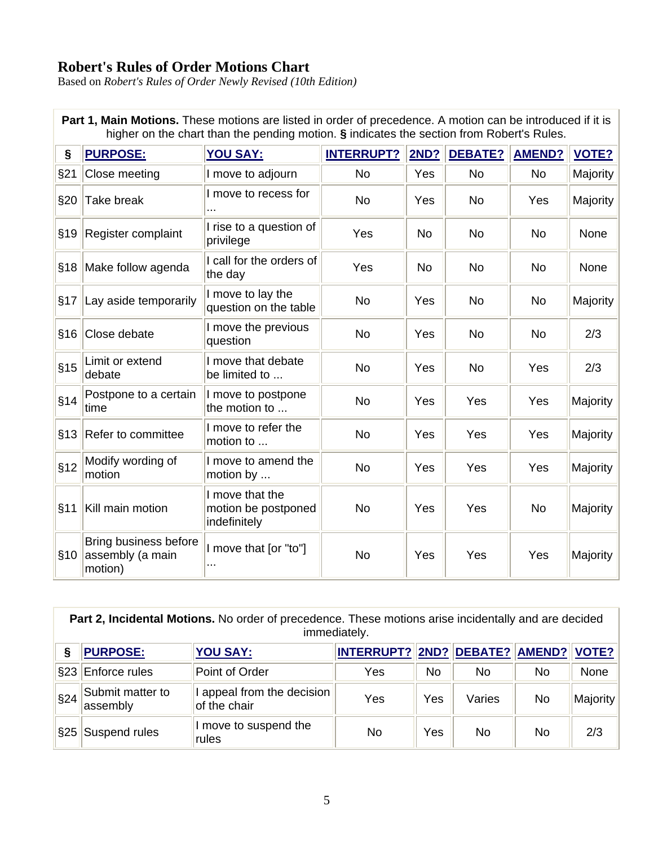## **Robert's Rules of Order Motions Chart**

Based on *Robert's Rules of Order Newly Revised (10th Edition)*

| higher on the chart than the pending motion. § indicates the section from Robert's Rules. |                                                      |                                                        |                   |           |                |               |              |  |
|-------------------------------------------------------------------------------------------|------------------------------------------------------|--------------------------------------------------------|-------------------|-----------|----------------|---------------|--------------|--|
| §                                                                                         | <b>PURPOSE:</b>                                      | <b>YOU SAY:</b>                                        | <b>INTERRUPT?</b> | 2ND?      | <b>DEBATE?</b> | <b>AMEND?</b> | <b>VOTE?</b> |  |
| §21                                                                                       | Close meeting                                        | I move to adjourn                                      | <b>No</b>         | Yes       | No             | <b>No</b>     | Majority     |  |
| §20                                                                                       | Take break                                           | I move to recess for                                   | <b>No</b>         | Yes       | <b>No</b>      | Yes           | Majority     |  |
| §19                                                                                       | Register complaint                                   | I rise to a question of<br>privilege                   | Yes               | No        | <b>No</b>      | <b>No</b>     | None         |  |
| §18                                                                                       | Make follow agenda                                   | I call for the orders of<br>the day                    | Yes               | <b>No</b> | <b>No</b>      | <b>No</b>     | None         |  |
| §17                                                                                       | Lay aside temporarily                                | I move to lay the<br>question on the table             | <b>No</b>         | Yes       | <b>No</b>      | <b>No</b>     | Majority     |  |
| §16                                                                                       | Close debate                                         | I move the previous<br>question                        | <b>No</b>         | Yes       | <b>No</b>      | <b>No</b>     | 2/3          |  |
| §15                                                                                       | Limit or extend<br>debate                            | I move that debate<br>be limited to                    | <b>No</b>         | Yes       | <b>No</b>      | Yes           | 2/3          |  |
| §14                                                                                       | Postpone to a certain<br>time                        | I move to postpone<br>the motion to                    | <b>No</b>         | Yes       | Yes            | Yes           | Majority     |  |
|                                                                                           | §13 Refer to committee                               | I move to refer the<br>motion to                       | <b>No</b>         | Yes       | Yes            | Yes           | Majority     |  |
| §12                                                                                       | Modify wording of<br>motion                          | I move to amend the<br>motion by                       | <b>No</b>         | Yes       | Yes            | Yes           | Majority     |  |
| §11                                                                                       | Kill main motion                                     | I move that the<br>motion be postponed<br>indefinitely | <b>No</b>         | Yes       | Yes            | <b>No</b>     | Majority     |  |
| §10                                                                                       | Bring business before<br>assembly (a main<br>motion) | I move that [or "to"]                                  | <b>No</b>         | Yes       | Yes            | Yes           | Majority     |  |

**Part 1, Main Motions.** These motions are listed in order of precedence. A motion can be introduced if it is higher on the chart than the pending motion. **§** indicates the section from Robert's Rules.

**Part 2, Incidental Motions.** No order of precedence. These motions arise incidentally and are decided immediately.

|     | <b>PURPOSE:</b>              | <b>YOU SAY:</b>                            | <b>INTERRUPT?</b> |     | 2ND? DEBATE? AMEND? VOTE? |    |          |
|-----|------------------------------|--------------------------------------------|-------------------|-----|---------------------------|----|----------|
|     | §23 Enforce rules            | Point of Order                             | Yes               | No  | No                        | No | None     |
| §24 | Submit matter to<br>assembly | I appeal from the decision<br>of the chair | Yes               | Yes | Varies                    | No | Majority |
|     | §25 Suspend rules            | I move to suspend the<br>rules             | No                | Yes | No                        | No | 2/3      |